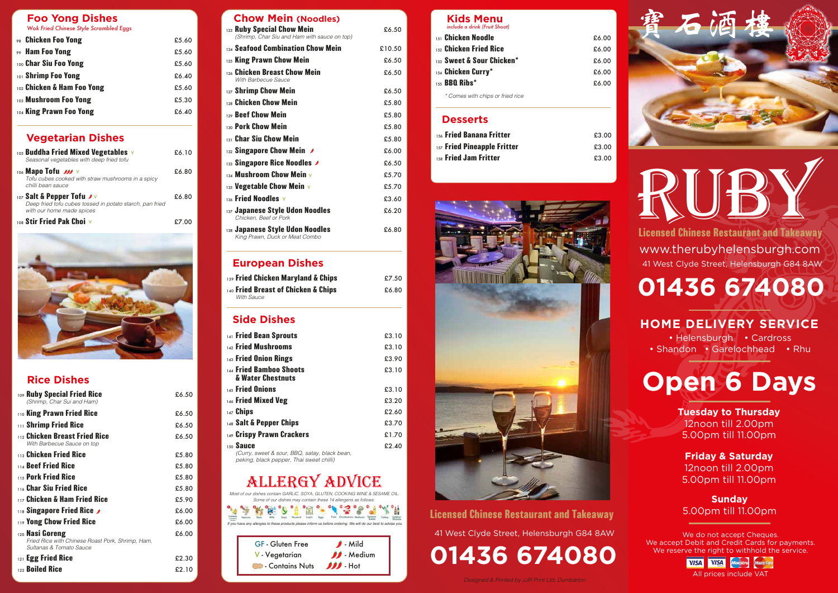**Tuesday to Thursday** 12noon till 2.00pm 5.00pm till 11.00pm

**Friday & Saturday** 12noon till 2.00pm 5.00pm till 11.00pm

### **HOME DELIVERY SERVICE** • Helensburgh • Cardross • Shandon • Garelochhead • Rhu

**Sunday** 5.00pm till 11.00pm

We do not accept Cheques. We accept Debit and Credit Cards for payments. We reserve the right to withhold the service.

**01436 674080**

# **Open 6 Days**



### **Foo Yong Dishes**

*Wok Fried Chinese Style Scrambled Eggs*

| 98 Chicken Foo Yong        | £5.60 |
|----------------------------|-------|
| 99 Ham Foo Yong            | £5.60 |
| 100 Char Siu Foo Yong      | £5.60 |
| 101 Shrimp Foo Yong        | £6.40 |
| 102 Chicken & Ham Foo Yong | £5.60 |
| 103 Mushroom Foo Yong      | £5.30 |
| 104 King Prawn Foo Yong    | £6.40 |
|                            |       |

### **Vegetarian Dishes**

### **European Dishes**

| 139 Fried Chicken Maryland & Chips                | £7.50 |
|---------------------------------------------------|-------|
| 140 Fried Breast of Chicken & Chips<br>With Sauce | £6.80 |

### **Rice Dishes**

| 109 Ruby Special Fried Rice<br>(Shrimp, Char Sui and Ham)                                             | £6.50 |
|-------------------------------------------------------------------------------------------------------|-------|
| <b>110 King Prawn Fried Rice</b>                                                                      | £6.50 |
| <b>111 Shrimp Fried Rice</b>                                                                          | £6.50 |
| $_{112}$ Chicken Breast Fried Rice<br>With Barbecue Sauce on top                                      | £6.50 |
| <b>113 Chicken Fried Rice</b>                                                                         | £5.80 |
| $_{114}$ Beef Fried Rice                                                                              | £5.80 |
| $_{115}$ Pork Fried Rice                                                                              | £5.80 |
| $_{116}$ Char Siu Fried Rice                                                                          | £5.80 |
| $_{117}$ Chicken & Ham Fried Rice                                                                     | £5.90 |
| <b>118 Singapore Fried Rice J</b>                                                                     | £6.00 |
| <b>119 Yong Chow Fried Rice</b>                                                                       | £6.00 |
| 120 <b>Nasi Goreng</b><br>Fried Rice with Chinese Roast Pork, Shrimp, Ham,<br>Sultanas & Tomato Sauce | £6.00 |
| 121 <b>Egg Fried Rice</b>                                                                             | £2.30 |
| 122 <b>Boiled Rice</b>                                                                                | £2.10 |

41 West Clyde Street, Helensburgh G84 8AW www.therubyhelensburgh.com

| <b>Chow Mein (Noodles)</b>                                                 |        |
|----------------------------------------------------------------------------|--------|
| 123 Ruby Special Chow Mein<br>(Shrimp, Char Siu and Ham with sauce on top) | £6.50  |
| 124 Seafood Combination Chow Mein                                          | £10.50 |
| 125 King Prawn Chow Mein                                                   | £6.50  |
| $_{126}$ Chicken Breast Chow Mein<br>With Barbecue Sauce                   | £6.50  |
| 127 Shrimp Chow Mein                                                       | £6.50  |
| 128 Chicken Chow Mein                                                      | £5.80  |
| 129 Beef Chow Mein                                                         | £5.80  |
| 130 Pork Chow Mein                                                         | £5.80  |
| 131 Char Siu Chow Mein                                                     | £5.80  |
| 132 Singapore Chow Mein                                                    | £6.00  |
| 133 Singapore Rice Noodles J                                               | £6.50  |
| 134 Mushroom Chow Mein v                                                   | £5.70  |
| 135 Vegetable Chow Mein $\vee$                                             | £5.70  |
| $136$ Fried Noodles $\vee$                                                 | £3.60  |
| 137 Japanese Style Udon Noodles<br>Chicken. Beef or Pork                   | £6.20  |
| 138 Japanese Style Udon Noodles<br>King Prawn, Duck or Meat Combo          | £6.80  |

| $_{105}$ Buddha Fried Mixed Vegetables $\vee$<br>Seasonal vegetables with deep fried tofu                         | £6.10 |
|-------------------------------------------------------------------------------------------------------------------|-------|
| 106 Mapo Tofu 222<br>Tofu cubes cooked with straw mushrooms in a spicy<br>chilli bean sauce                       | £6.80 |
| 107 Salt & Pepper Tofu 1<br>Deep fried tofu cubes tossed in potato starch, pan fried<br>with our home made spices | £6.80 |
| 108 Stir Fried Pak Choi v                                                                                         |       |



### **Kids Menu** *include a drink (Fruit Shoot)*

| $_{151}$ Chicken Noodle      | £6.00 |
|------------------------------|-------|
| $_{152}$ Chicken Fried Rice. | £6.00 |
| 153 Sweet & Sour Chicken*    | £6.00 |
| 154 Chicken Curry*           | £6.00 |
| $155$ BBQ Ribs*              | £6.00 |
|                              |       |

 *\* Comes with chips or fried rice*

### **Side Dishes**

| 141 Fried Bean Sprouts                                            | £3.10 |
|-------------------------------------------------------------------|-------|
| $_{142}$ Fried Mushrooms                                          | £3.10 |
| 143 Fried Onion Rings                                             | £3.90 |
| 144 Fried Bamboo Shoots<br><b>&amp; Water Chestnuts</b>           | £3.10 |
| 145 Fried Onions                                                  | £3.10 |
| 146 Fried Mixed Veg                                               | £3.20 |
| 147 Chips                                                         | £2.60 |
| 148 Salt & Pepper Chips                                           | £3.70 |
| <b>149 Crispy Prawn Crackers</b>                                  | £1.70 |
| 150 <b>Sauce</b><br>(Curry, sweet & sour, BBQ, satay, black bean, | £2.40 |

### *peking, black pepper, Thai sweet chilli)*

### **Desserts**

| 156 Fried Banana Fritter    | £3.00 |
|-----------------------------|-------|
| 157 Fried Pineapple Fritter | £3.00 |
| 158 Fried Jam Fritter       | £3.00 |





41 West Clyde Street, Helensburgh G84 8AW **01436 674080 Licensed Chinese Restaurant and Takeaway**

*Designed & Printed by JJR Print Ltd, Dumbarton*



# Allergy Advice

*Most of our dishes contain GARLIC, SOYA, GLUTEN, COOKING WINE & SESAME OIL. Some of our dishes may contain these 14 allergens as follows:*